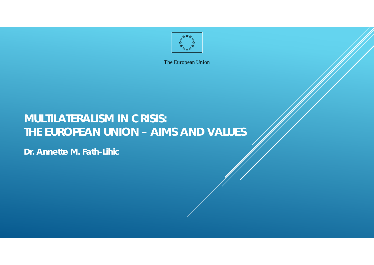

# **MULTILATERALISM IN CRISIS: THE EUROPEAN UNION – AIMS AND VALUES**

**Dr. Annette M. Fath-Lihic**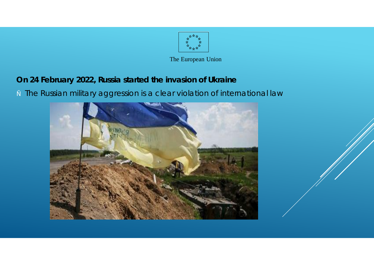

- **On 24 February 2022, Russia started the invasion of Ukraine**
- " The Russian military aggression is a clear violation of international law

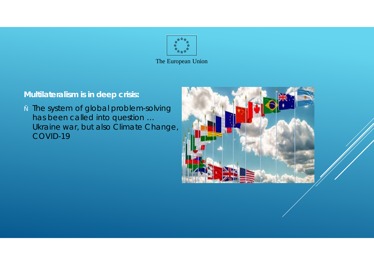

## **Multilateralism is in deep crisis:**

. The system of global problem-solving has been called into question … Ukraine war, but also Climate Change, COVID-19

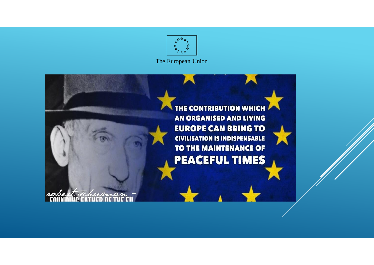

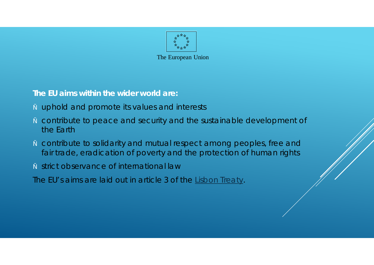

**The EU aims within the wider world are:**

- uphold and promote its values and interests
- contribute to peace and security and the sustainable development of the Earth
- contribute to solidarity and mutual respect among peoples, free and fair trade, eradication of poverty and the protection of human rights
- " strict observance of international law

*The EU's aims are laid out in article 3 of the Lisbon Treaty.*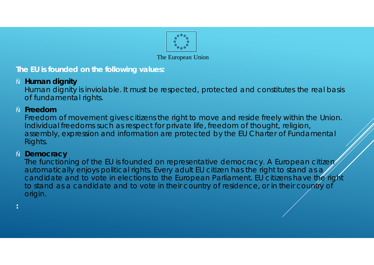

### **The EU is founded on the following values:**

**Human dignity** 

Human dignity is inviolable. It must be respected, protected and constitutes the real basis of fundamental rights.

" **Freedom**

Freedom of movement gives citizens the right to move and reside freely within the Union. Individual freedoms such as respect for private life, freedom of thought, religion, assembly, expression and information are protected by the EU Charter of Fundamental Rights.

**Democracy** 

The functioning of the EU is founded on representative democracy. A European citizen automatically enjoys political rights. Every adult EU citizen has the right to stand as a candidate and to vote in elections to the European Parliament. EU citizens have the right to stand as a candidate and to vote in their country of residence, or in their country of origin.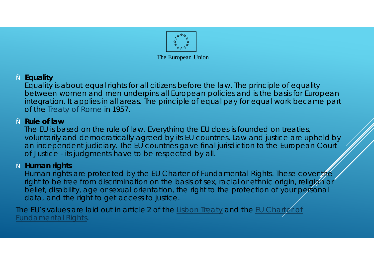

The European Union

" **Equality**

Equality is about equal rights for all citizens before the law. The principle of equality between women and men underpins all European policies and is the basis for European integration. It applies in all areas. The principle of equal pay for equal work became part of the Treaty of Rome in 1957.

" **Rule of law**

The EU is based on the rule of law. Everything the EU does is founded on treaties, voluntarily and democratically agreed by its EU countries. Law and justice are upheld by an independent judiciary. The EU countries gave final jurisdiction to the European Court of Justice - its judgments have to be respected by all.

" **Human rights**

Human rights are protected by the EU Charter of Fundamental Rights. These cover the right to be free from discrimination on the basis of sex, racial or ethnic origin, religion or belief, disability, age or sexual orientation, the right to the protection of your personal data, and the right to get access to justice.

*The EU's values are laid out in article 2 of the Lisbon Treaty and the EU Charter of Fundamental Rights.*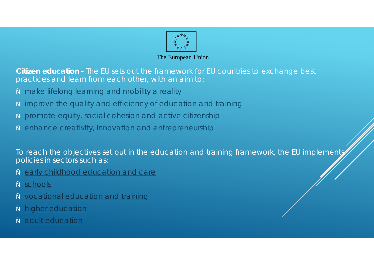

**Citizen education -** The EU sets out the framework for EU countries to exchange best practices and learn from each other, with an aim to:

- make lifelong learning and mobility a reality
- improve the quality and efficiency of education and training
- promote equity, social cohesion and active citizenship
- enhance creativity, innovation and entrepreneurship

To reach the objectives set out in the education and training framework, the EU implementy policies in sectors such as:

- early childhood education and care
- schools
- vocational education and training
- higher education
- adult education